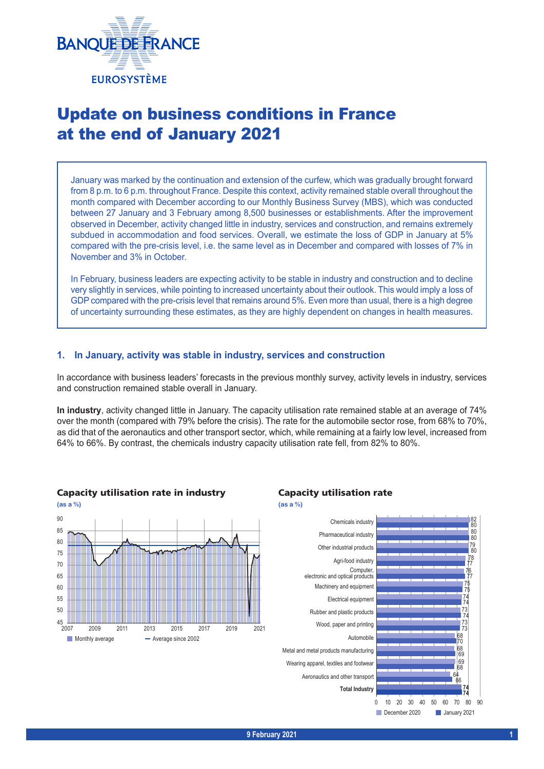

# Update on business conditions in France at the end of January 2021

January was marked by the continuation and extension of the curfew, which was gradually brought forward from 8 p.m. to 6 p.m. throughout France. Despite this context, activity remained stable overall throughout the month compared with December according to our Monthly Business Survey (MBS), which was conducted between 27 January and 3 February among 8,500 businesses or establishments. After the improvement observed in December, activity changed little in industry, services and construction, and remains extremely subdued in accommodation and food services. Overall, we estimate the loss of GDP in January at 5% compared with the pre-crisis level, i.e. the same level as in December and compared with losses of 7% in November and 3% in October.

In February, business leaders are expecting activity to be stable in industry and construction and to decline very slightly in services, while pointing to increased uncertainty about their outlook. This would imply a loss of GDP compared with the pre-crisis level that remains around 5%. Even more than usual, there is a high degree of uncertainty surrounding these estimates, as they are highly dependent on changes in health measures.

## **1. In January, activity was stable in industry, services and construction**

In accordance with business leaders' forecasts in the previous monthly survey, activity levels in industry, services and construction remained stable overall in January.

**In industry**, activity changed little in January. The capacity utilisation rate remained stable at an average of 74% over the month (compared with 79% before the crisis). The rate for the automobile sector rose, from 68% to 70%, as did that of the aeronautics and other transport sector, which, while remaining at a fairly low level, increased from 64% to 66%. By contrast, the chemicals industry capacity utilisation rate fell, from 82% to 80%.



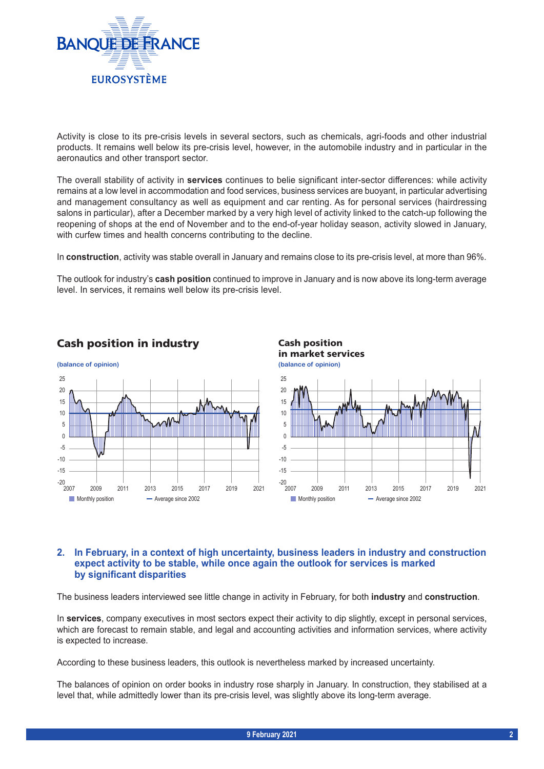

Activity is close to its pre-crisis levels in several sectors, such as chemicals, agri-foods and other industrial products. It remains well below its pre-crisis level, however, in the automobile industry and in particular in the aeronautics and other transport sector.

The overall stability of activity in **services** continues to belie significant inter-sector differences: while activity remains at a low level in accommodation and food services, business services are buoyant, in particular advertising and management consultancy as well as equipment and car renting. As for personal services (hairdressing salons in particular), after a December marked by a very high level of activity linked to the catch-up following the reopening of shops at the end of November and to the end-of-year holiday season, activity slowed in January, with curfew times and health concerns contributing to the decline.

In **construction**, activity was stable overall in January and remains close to its pre-crisis level, at more than 96%.

The outlook for industry's **cash position** continued to improve in January and is now above its long-term average level. In services, it remains well below its pre-crisis level.



# Cash position in industry **Cash position**



# **2. In February, in a context of high uncertainty, business leaders in industry and construction expect activity to be stable, while once again the outlook for services is marked by significant disparities**

The business leaders interviewed see little change in activity in February, for both **industry** and **construction**.

In **services**, company executives in most sectors expect their activity to dip slightly, except in personal services, which are forecast to remain stable, and legal and accounting activities and information services, where activity is expected to increase.

According to these business leaders, this outlook is nevertheless marked by increased uncertainty.

The balances of opinion on order books in industry rose sharply in January. In construction, they stabilised at a level that, while admittedly lower than its pre-crisis level, was slightly above its long-term average.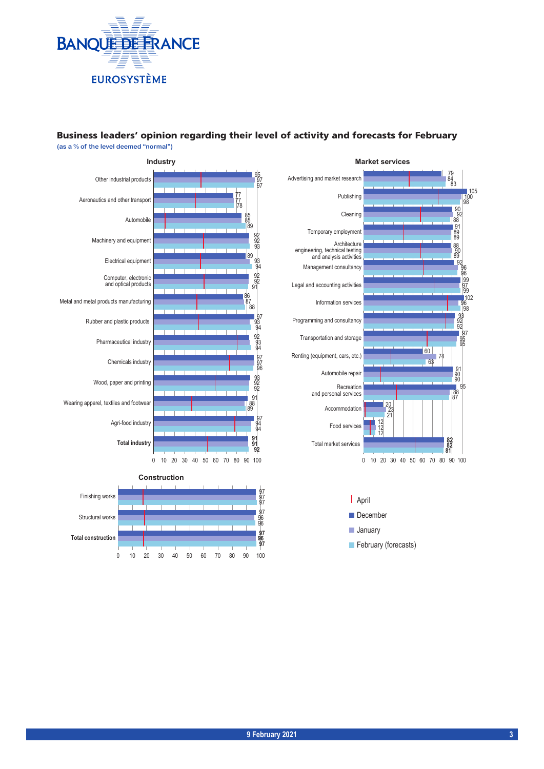

### Business leaders' opinion regarding their level of activity and forecasts for February **(as a % of the level deemed "normal")**



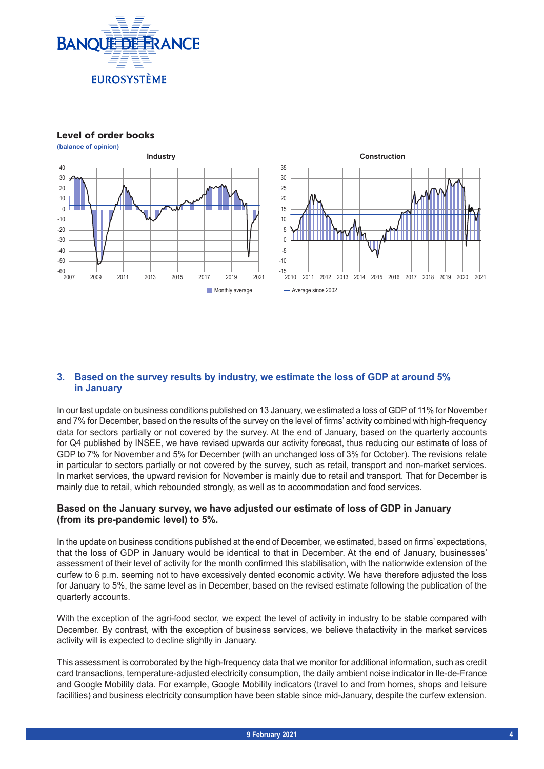

Level of order books



# **3. Based on the survey results by industry, we estimate the loss of GDP at around 5% in January**

In our last update on business conditions published on 13 January, we estimated a loss of GDP of 11% for November and 7% for December, based on the results of the survey on the level of firms' activity combined with high-frequency data for sectors partially or not covered by the survey. At the end of January, based on the quarterly accounts for Q4 published by INSEE, we have revised upwards our activity forecast, thus reducing our estimate of loss of GDP to 7% for November and 5% for December (with an unchanged loss of 3% for October). The revisions relate in particular to sectors partially or not covered by the survey, such as retail, transport and non-market services. In market services, the upward revision for November is mainly due to retail and transport. That for December is mainly due to retail, which rebounded strongly, as well as to accommodation and food services.

# **Based on the January survey, we have adjusted our estimate of loss of GDP in January (from its pre-pandemic level) to 5%.**

In the update on business conditions published at the end of December, we estimated, based on firms' expectations, that the loss of GDP in January would be identical to that in December. At the end of January, businesses' assessment of their level of activity for the month confirmed this stabilisation, with the nationwide extension of the curfew to 6 p.m. seeming not to have excessively dented economic activity. We have therefore adjusted the loss for January to 5%, the same level as in December, based on the revised estimate following the publication of the quarterly accounts.

With the exception of the agri-food sector, we expect the level of activity in industry to be stable compared with December. By contrast, with the exception of business services, we believe thatactivity in the market services activity will is expected to decline slightly in January.

This assessment is corroborated by the high-frequency data that we monitor for additional information, such as credit card transactions, temperature-adjusted electricity consumption, the daily ambient noise indicator in Ile-de-France and Google Mobility data. For example, Google Mobility indicators (travel to and from homes, shops and leisure facilities) and business electricity consumption have been stable since mid-January, despite the curfew extension.